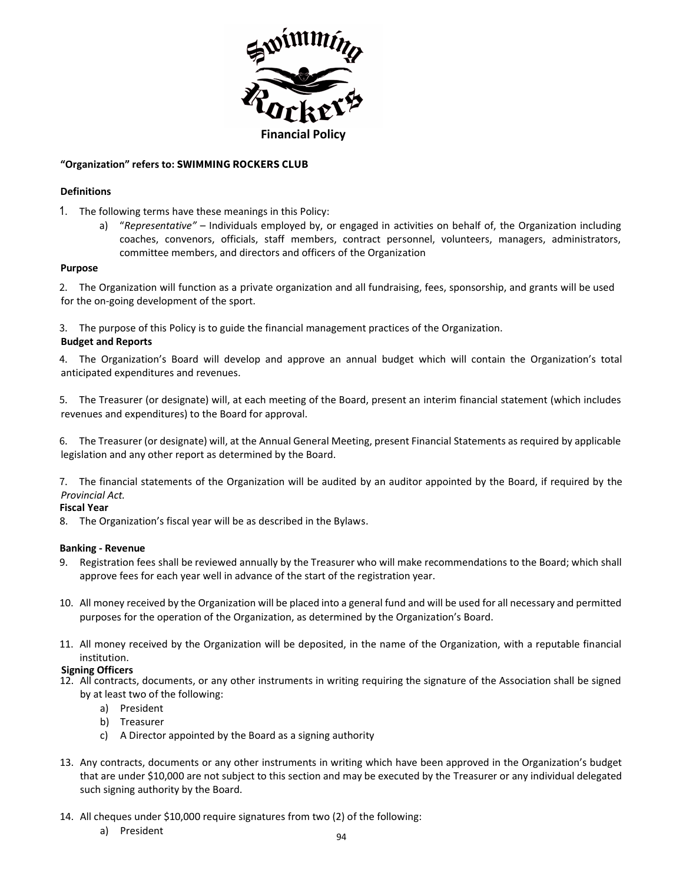

# **"Organization" refers to: SWIMMING ROCKERS CLUB**

## **Definitions**

- 1. The following terms have these meanings in this Policy:
	- a) "*Representative"* Individuals employed by, or engaged in activities on behalf of, the Organization including coaches, convenors, officials, staff members, contract personnel, volunteers, managers, administrators, committee members, and directors and officers of the Organization

## **Purpose**

2. The Organization will function as a private organization and all fundraising, fees, sponsorship, and grants will be used for the on-going development of the sport.

3. The purpose of this Policy is to guide the financial management practices of the Organization.

## **Budget and Reports**

4. The Organization's Board will develop and approve an annual budget which will contain the Organization's total anticipated expenditures and revenues.

5. The Treasurer (or designate) will, at each meeting of the Board, present an interim financial statement (which includes revenues and expenditures) to the Board for approval.

6. The Treasurer (or designate) will, at the Annual General Meeting, present Financial Statements as required by applicable legislation and any other report as determined by the Board.

7. The financial statements of the Organization will be audited by an auditor appointed by the Board, if required by the *Provincial Act.*

# **Fiscal Year**

8. The Organization's fiscal year will be as described in the Bylaws.

## **Banking - Revenue**

- 9. Registration fees shall be reviewed annually by the Treasurer who will make recommendations to the Board; which shall approve fees for each year well in advance of the start of the registration year.
- 10. All money received by the Organization will be placed into a general fund and will be used for all necessary and permitted purposes for the operation of the Organization, as determined by the Organization's Board.
- 11. All money received by the Organization will be deposited, in the name of the Organization, with a reputable financial institution.

# **Signing Officers**

- 12. All contracts, documents, or any other instruments in writing requiring the signature of the Association shall be signed by at least two of the following:
	- a) President
	- b) Treasurer
	- c) A Director appointed by the Board as a signing authority
- 13. Any contracts, documents or any other instruments in writing which have been approved in the Organization's budget that are under \$10,000 are not subject to this section and may be executed by the Treasurer or any individual delegated such signing authority by the Board.
- 14. All cheques under \$10,000 require signatures from two (2) of the following:
	- a) President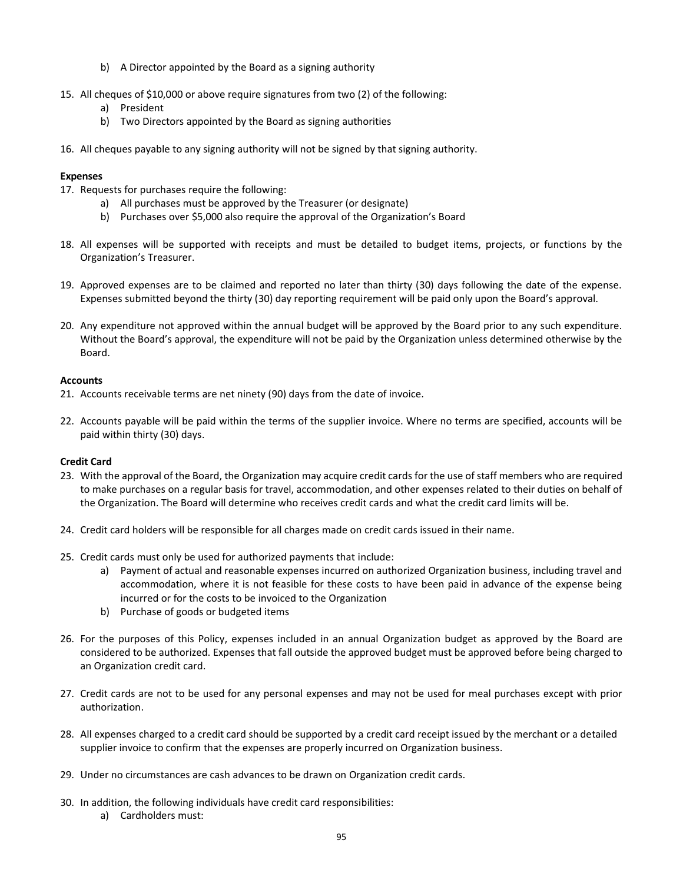- b) A Director appointed by the Board as a signing authority
- 15. All cheques of \$10,000 or above require signatures from two (2) of the following:
	- a) President
	- b) Two Directors appointed by the Board as signing authorities
- 16. All cheques payable to any signing authority will not be signed by that signing authority.

## **Expenses**

- 17. Requests for purchases require the following:
	- a) All purchases must be approved by the Treasurer (or designate)
	- b) Purchases over \$5,000 also require the approval of the Organization's Board
- 18. All expenses will be supported with receipts and must be detailed to budget items, projects, or functions by the Organization's Treasurer.
- 19. Approved expenses are to be claimed and reported no later than thirty (30) days following the date of the expense. Expenses submitted beyond the thirty (30) day reporting requirement will be paid only upon the Board's approval.
- 20. Any expenditure not approved within the annual budget will be approved by the Board prior to any such expenditure. Without the Board's approval, the expenditure will not be paid by the Organization unless determined otherwise by the Board.

## **Accounts**

- 21. Accounts receivable terms are net ninety (90) days from the date of invoice.
- 22. Accounts payable will be paid within the terms of the supplier invoice. Where no terms are specified, accounts will be paid within thirty (30) days.

## **Credit Card**

- 23. With the approval of the Board, the Organization may acquire credit cards for the use of staff members who are required to make purchases on a regular basis for travel, accommodation, and other expenses related to their duties on behalf of the Organization. The Board will determine who receives credit cards and what the credit card limits will be.
- 24. Credit card holders will be responsible for all charges made on credit cards issued in their name.
- 25. Credit cards must only be used for authorized payments that include:
	- a) Payment of actual and reasonable expenses incurred on authorized Organization business, including travel and accommodation, where it is not feasible for these costs to have been paid in advance of the expense being incurred or for the costs to be invoiced to the Organization
	- b) Purchase of goods or budgeted items
- 26. For the purposes of this Policy, expenses included in an annual Organization budget as approved by the Board are considered to be authorized. Expenses that fall outside the approved budget must be approved before being charged to an Organization credit card.
- 27. Credit cards are not to be used for any personal expenses and may not be used for meal purchases except with prior authorization.
- 28. All expenses charged to a credit card should be supported by a credit card receipt issued by the merchant or a detailed supplier invoice to confirm that the expenses are properly incurred on Organization business.
- 29. Under no circumstances are cash advances to be drawn on Organization credit cards.
- 30. In addition, the following individuals have credit card responsibilities:
	- a) Cardholders must: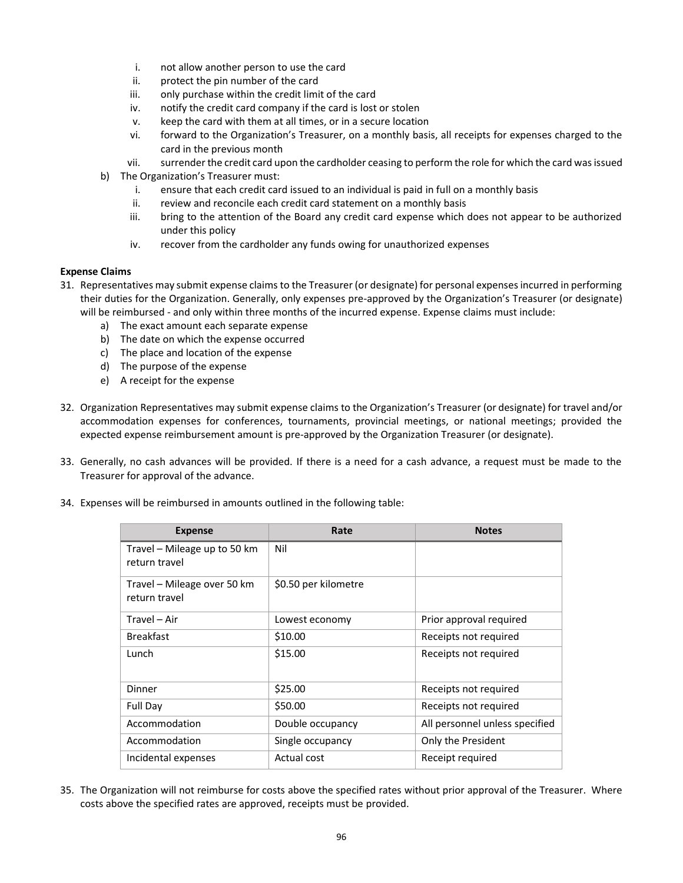- i. not allow another person to use the card
- ii. protect the pin number of the card
- iii. only purchase within the credit limit of the card
- iv. notify the credit card company if the card is lost or stolen
- v. keep the card with them at all times, or in a secure location
- vi. forward to the Organization's Treasurer, on a monthly basis, all receipts for expenses charged to the card in the previous month
- vii. surrender the credit card upon the cardholder ceasing to perform the role for which the card was issued
- b) The Organization's Treasurer must:
	- i. ensure that each credit card issued to an individual is paid in full on a monthly basis
	- ii. review and reconcile each credit card statement on a monthly basis
	- iii. bring to the attention of the Board any credit card expense which does not appear to be authorized under this policy
	- iv. recover from the cardholder any funds owing for unauthorized expenses

## **Expense Claims**

- 31. Representatives may submit expense claims to the Treasurer (or designate) for personal expenses incurred in performing their duties for the Organization. Generally, only expenses pre-approved by the Organization's Treasurer (or designate) will be reimbursed - and only within three months of the incurred expense. Expense claims must include:
	- a) The exact amount each separate expense
	- b) The date on which the expense occurred
	- c) The place and location of the expense
	- d) The purpose of the expense
	- e) A receipt for the expense
- 32. Organization Representatives may submit expense claims to the Organization's Treasurer (or designate) for travel and/or accommodation expenses for conferences, tournaments, provincial meetings, or national meetings; provided the expected expense reimbursement amount is pre-approved by the Organization Treasurer (or designate).
- 33. Generally, no cash advances will be provided. If there is a need for a cash advance, a request must be made to the Treasurer for approval of the advance.
- 34. Expenses will be reimbursed in amounts outlined in the following table:

| <b>Expense</b>                                | Rate                 | <b>Notes</b>                   |
|-----------------------------------------------|----------------------|--------------------------------|
| Travel - Mileage up to 50 km<br>return travel | Nil                  |                                |
| Travel - Mileage over 50 km<br>return travel  | \$0.50 per kilometre |                                |
| Travel - Air                                  | Lowest economy       | Prior approval required        |
| <b>Breakfast</b>                              | \$10.00              | Receipts not required          |
| Lunch                                         | \$15.00              | Receipts not required          |
| Dinner                                        | \$25.00              | Receipts not required          |
| <b>Full Day</b>                               | \$50.00              | Receipts not required          |
| Accommodation                                 | Double occupancy     | All personnel unless specified |
| Accommodation                                 | Single occupancy     | Only the President             |
| Incidental expenses                           | Actual cost          | Receipt required               |

35. The Organization will not reimburse for costs above the specified rates without prior approval of the Treasurer. Where costs above the specified rates are approved, receipts must be provided.